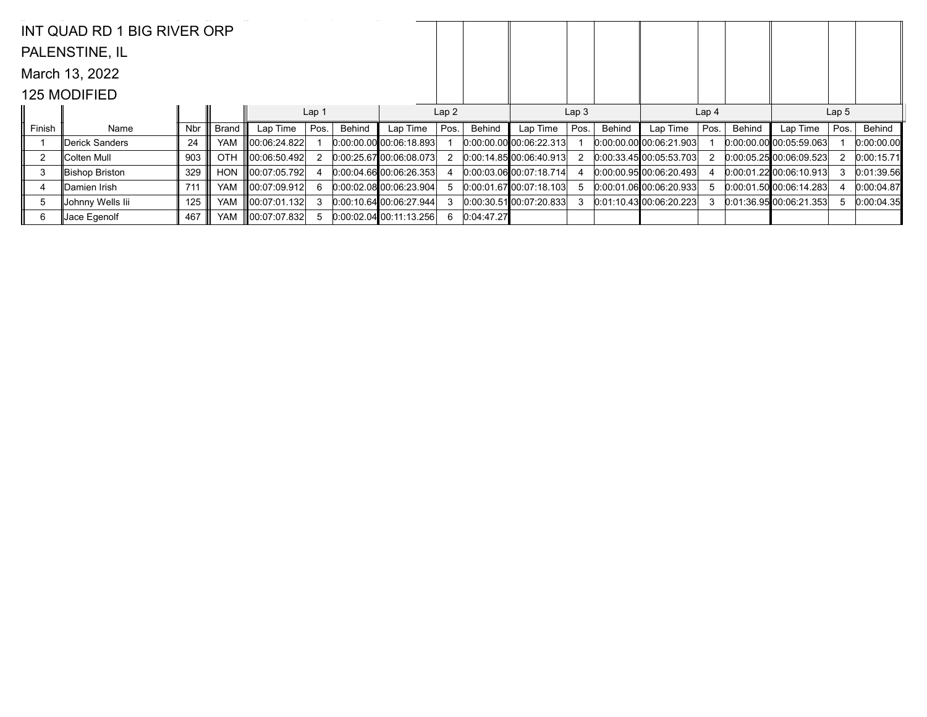|                | INT QUAD RD 1 BIG RIVER ORP |     |            |                    |                  |        |                             |      |            |                             |                  |        |                           |                  |        |                             |                  |            |
|----------------|-----------------------------|-----|------------|--------------------|------------------|--------|-----------------------------|------|------------|-----------------------------|------------------|--------|---------------------------|------------------|--------|-----------------------------|------------------|------------|
|                | PALENSTINE, IL              |     |            |                    |                  |        |                             |      |            |                             |                  |        |                           |                  |        |                             |                  |            |
|                | March 13, 2022              |     |            |                    |                  |        |                             |      |            |                             |                  |        |                           |                  |        |                             |                  |            |
|                | <b>125 MODIFIED</b>         |     |            |                    |                  |        |                             |      |            |                             |                  |        |                           |                  |        |                             |                  |            |
|                |                             |     |            |                    | Lap <sub>1</sub> |        |                             | Lap2 |            |                             | Lap <sub>3</sub> |        |                           | Lap <sub>4</sub> |        |                             | Lap <sub>5</sub> |            |
| Finish         | Name                        | Nbr | Brand      | Lap Time           | Pos.             | Behind | Lap Time                    | Pos. | Behind     | Lap Time                    | Pos.             | Behind | Lap Time                  | Pos.             | Behind | Lap Time                    | Pos.             | Behind     |
|                | Derick Sanders              | 24  | <b>YAM</b> | ∥00:06:24.822      |                  |        | $0.00:00.00$ 00:06:18.893   |      |            | 0.00.00.00 00.06.22.313     |                  |        | $0.00.00.00$ 00:06:21.903 |                  |        | $[0.00:00.00]$ 00:05:59.063 |                  | 0:00:00.00 |
| $\overline{2}$ | <b>∥Colten Mull</b>         | 903 | <b>OTH</b> | $\ 00:06:50.492\ $ | 2                |        | 0:00:25.6700:06:08.073      |      |            | 0:00:14.85 00:06:40.913     |                  |        | 0:00:33.4500:05:53.703    |                  |        | 0:00:05.25 00:06:09.523     |                  | 0:00:15.71 |
| 3              | Bishop Briston              | 329 | <b>HON</b> | 00:07:05.792       |                  |        | 0.00.04.66000.06.26.353     |      |            | $[0:00:03.06]$ 00:07:18.714 |                  |        | $0:00.00.95$ 00:06:20.493 |                  |        | 0.00.01.22 00.06.10.913     |                  | 0:01:39.56 |
| 4              | ∥Damien Irish               | 711 | <b>YAM</b> | 00:07:09.912       | 6                |        | 0.00.02.08 00.06.23.904     |      |            | $0:00:01.67$ 00:07:18.103   |                  |        | 0.00:01.06 00:06:20.933   | 5.               |        | 0.00.01.50000.0614.283      |                  | 0:00:04.87 |
| 5              | Johnny Wells Iii            | 125 | <b>YAM</b> | 00:07:01.132       | 3                |        | 0:00:10.6400:06:27.944      |      |            | $[0:00:30.51]$ 00:07:20.833 |                  |        | $0:01:10.43$ 00:06:20.223 |                  |        | 0.01:36.95 00:06:21.353     | 5                | 0:00:04.35 |
| 6              | Jace Egenolf                | 467 | <b>YAM</b> | 00:07:07.832       |                  |        | $[0.00:02.04]$ 00:11:13.256 | 6    | 0:04:47.27 |                             |                  |        |                           |                  |        |                             |                  |            |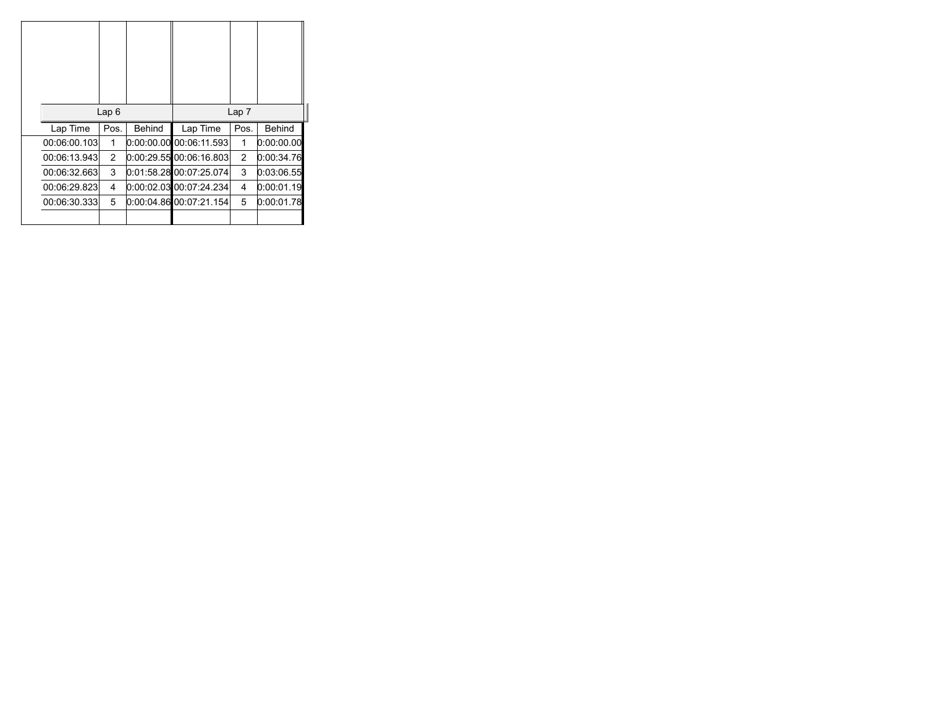|               | Lap6 |               |                           | Lap <sub>7</sub> |               |
|---------------|------|---------------|---------------------------|------------------|---------------|
| Lap Time      | Pos. | <b>Behind</b> | Lap Time                  | Pos.             | <b>Behind</b> |
| 00:06:00.103  | 1    |               | $0.00.00.00$ 00:06:11.593 | 1                | 0:00:00.00    |
| 00:06:13.943  | 2    |               | 0:00:29.55 00:06:16.803   | $\overline{2}$   | 0:00:34.76    |
| 00:06:32.663  | 3    |               | 0:01:58.28 00:07:25.074   | 3                | 0:03:06.55    |
| 00:06:29.823  | 4    |               | 0:00:02.03 00:07:24.234   | 4                | 0:00:01.19    |
| 00:06:30.3331 | 5    |               | 0:00:04.86 00:07:21.154   | 5                | 0:00:01.78    |
|               |      |               |                           |                  |               |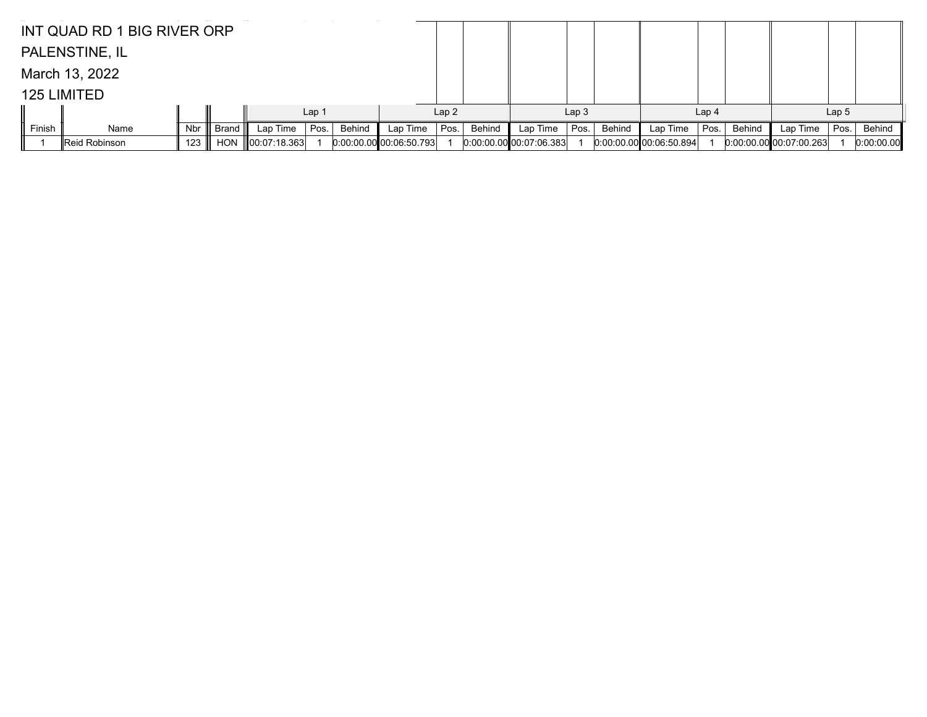|        | INT QUAD RD 1 BIG RIVER ORP |     |            |                    |                  |        |                           |      |        |                           |                  |        |                           |                  |        |                           |                  |            |
|--------|-----------------------------|-----|------------|--------------------|------------------|--------|---------------------------|------|--------|---------------------------|------------------|--------|---------------------------|------------------|--------|---------------------------|------------------|------------|
|        | PALENSTINE, IL              |     |            |                    |                  |        |                           |      |        |                           |                  |        |                           |                  |        |                           |                  |            |
|        | March 13, 2022              |     |            |                    |                  |        |                           |      |        |                           |                  |        |                           |                  |        |                           |                  |            |
|        | 125 LIMITED                 |     |            |                    |                  |        |                           |      |        |                           |                  |        |                           |                  |        |                           |                  |            |
|        |                             |     |            |                    | Lap <sub>1</sub> |        |                           | Lap2 |        |                           | Lap <sub>3</sub> |        |                           | Lap <sub>4</sub> |        |                           | Lap <sub>5</sub> |            |
| Finish | Name                        | Nbr | Brand III  | Lap Time           | Pos.             | Behind | Lap Time                  | Pos. | Behind | Lap Time                  | Pos.             | Behind | Lap Time                  | Pos.             | Behind | Lap Time                  | Pos.             | Behind     |
|        | Reid Robinson               | 123 | <b>HON</b> | $\ 00:07:18.363\ $ |                  |        | $0:00:00.00$ 00:06:50.793 |      |        | $0:00:00.00$ 00:07:06.383 |                  |        | $0:00:00:00$ 00:06:50.894 |                  |        | $0:00:00.00$ 00:07:00.263 |                  | 0:00:00.00 |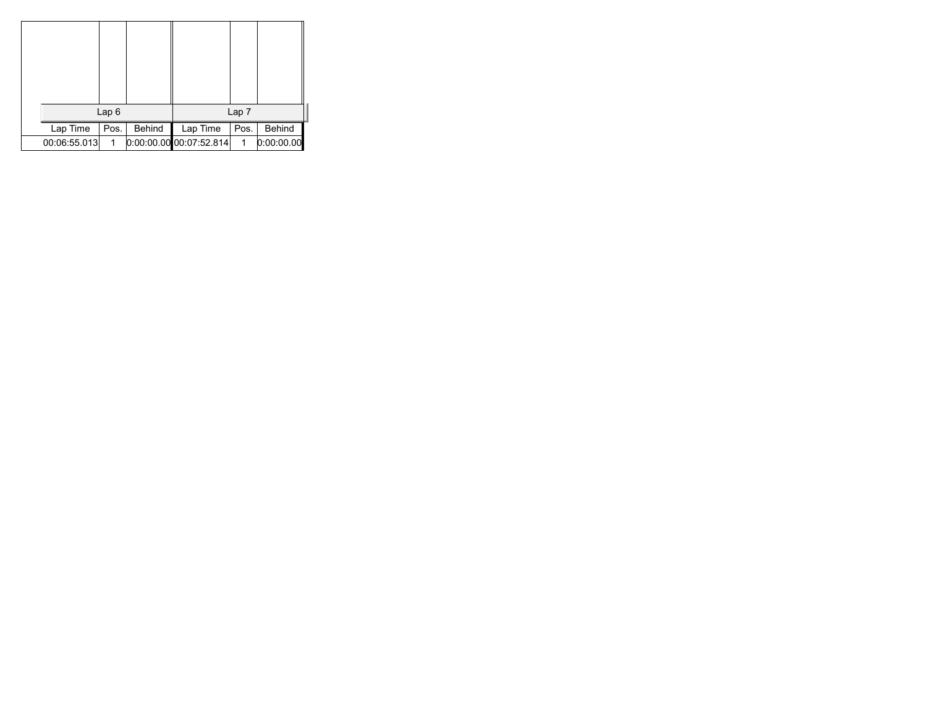|              | Lap6 |        |                           | Lap 7 |            |
|--------------|------|--------|---------------------------|-------|------------|
| Lap Time     | Pos. | Behind | Lap Time                  | Pos.  | Behind     |
| 00:06:55.013 | 1    |        | $0.00.00.00$ 00:07:52.814 | 1     | 0:00:00.00 |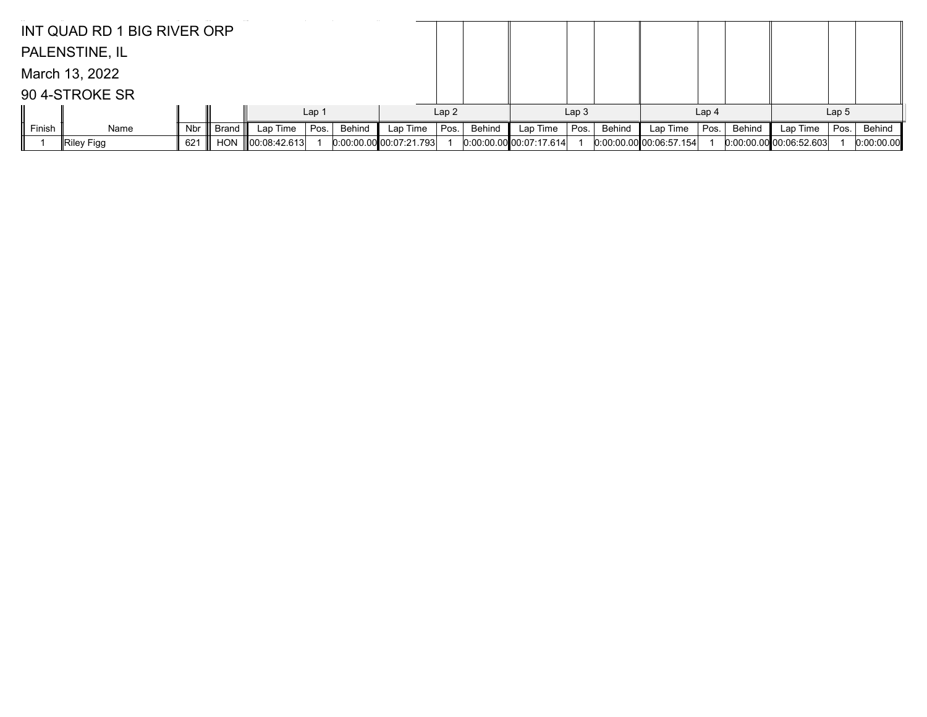|        | INT QUAD RD 1 BIG RIVER ORP |     |            |                    |                  |        |                         |      |        |                           |                  |        |                           |                  |        |                           |                  |            |
|--------|-----------------------------|-----|------------|--------------------|------------------|--------|-------------------------|------|--------|---------------------------|------------------|--------|---------------------------|------------------|--------|---------------------------|------------------|------------|
|        | PALENSTINE, IL              |     |            |                    |                  |        |                         |      |        |                           |                  |        |                           |                  |        |                           |                  |            |
|        | March 13, 2022              |     |            |                    |                  |        |                         |      |        |                           |                  |        |                           |                  |        |                           |                  |            |
|        | 90 4-STROKE SR              |     |            |                    |                  |        |                         |      |        |                           |                  |        |                           |                  |        |                           |                  |            |
|        |                             |     |            |                    | Lap <sub>1</sub> |        |                         | Lap2 |        |                           | Lap <sub>3</sub> |        |                           | Lap <sub>4</sub> |        |                           | Lap <sub>5</sub> |            |
| Finish | Name                        | Nbr | Brand III  | Lap Time           | Pos.             | Behind | Lap Time                | Pos. | Behind | Lap Time                  | Pos.             | Behind | Lap Time                  | Pos.             | Behind | Lap Time                  | Pos.             | Behind     |
|        | $\parallel$ Riley Figg      | 621 | <b>HON</b> | $\ 00:08:42.613\ $ |                  |        | 0.00.00.00 00.07:21.793 |      |        | $0:00:00.00$ 00:07:17.614 |                  |        | $0:00:00.00$ 00:06:57.154 |                  |        | $0:00:00.00$ 00:06:52.603 |                  | 0:00:00.00 |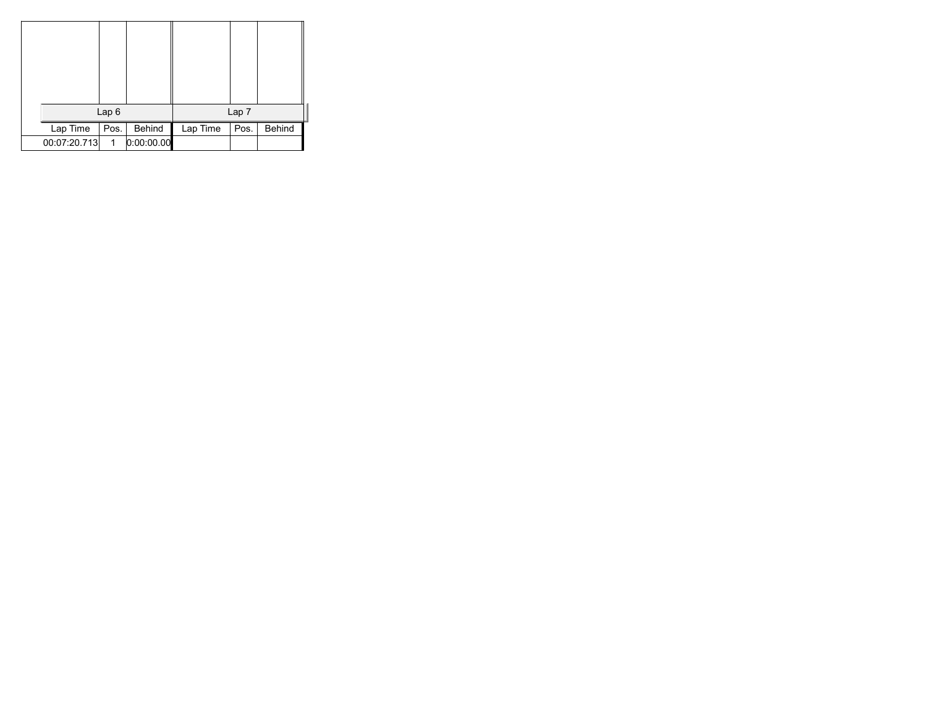|              | Lap <sub>6</sub> |            |          | Lap 7 |        |  |
|--------------|------------------|------------|----------|-------|--------|--|
| Lap Time     | Pos.             | Behind     | Lap Time | Pos.  | Behind |  |
| 00:07:20.713 | 1                | 0:00:00.00 |          |       |        |  |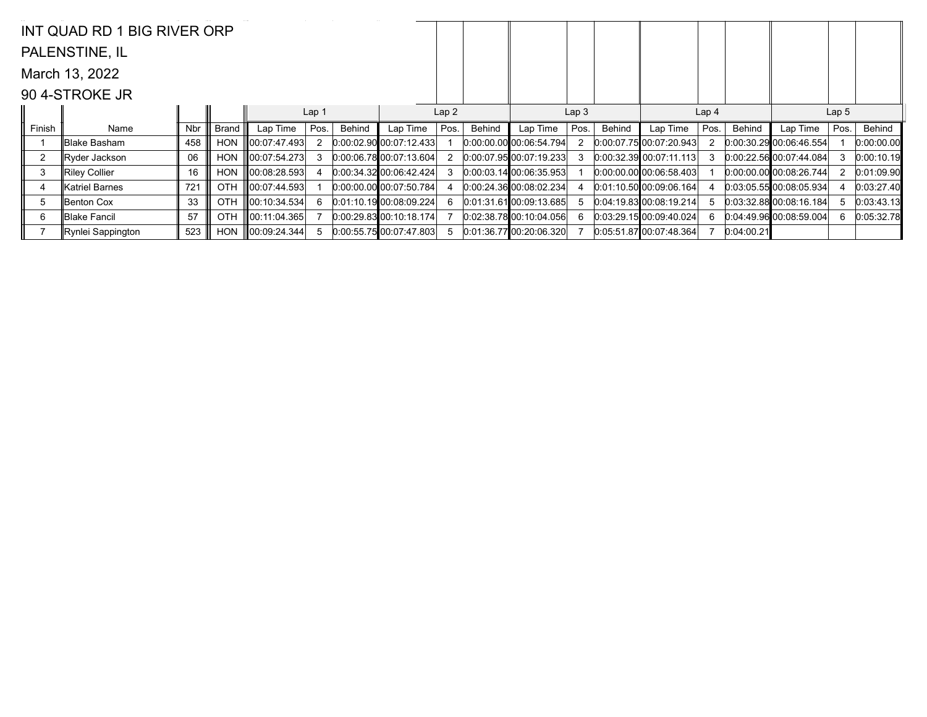|                | INT QUAD RD 1 BIG RIVER ORP |     |              |                    |                  |        |                                |      |        |                             |                  |        |                           |                  |            |                             |                  |            |
|----------------|-----------------------------|-----|--------------|--------------------|------------------|--------|--------------------------------|------|--------|-----------------------------|------------------|--------|---------------------------|------------------|------------|-----------------------------|------------------|------------|
|                | PALENSTINE, IL              |     |              |                    |                  |        |                                |      |        |                             |                  |        |                           |                  |            |                             |                  |            |
|                | March 13, 2022              |     |              |                    |                  |        |                                |      |        |                             |                  |        |                           |                  |            |                             |                  |            |
|                | 90 4-STROKE JR              |     |              |                    |                  |        |                                |      |        |                             |                  |        |                           |                  |            |                             |                  |            |
|                |                             |     |              |                    | Lap <sub>1</sub> |        |                                | Lap2 |        |                             | Lap <sub>3</sub> |        |                           | Lap <sub>4</sub> |            |                             | Lap <sub>5</sub> |            |
| Finish         | Name                        | Nbr | <b>Brand</b> | Lap Time           | Pos.             | Behind | Lap Time                       | Pos. | Behind | Lap Time                    | Pos.             | Behind | Lap Time                  | Pos.             | Behind     | Lap Time                    | Pos.             | Behind     |
|                | ∥Blake Basham               | 458 | HON          | 100:07:47.493      | 2                |        | $[0.00:02.90]$ $[0.07:12.433]$ |      |        | 0:00:00.00 00:06:54.794     |                  |        | 0.00.07.75000.0720.943    |                  |            | 0.00:30.29 00:06:46.554     |                  | 0:00:00.00 |
| $\overline{2}$ | Ryder Jackson               | 06  | <b>HON</b>   | 00:07:54.273       | 3                |        | 0:00:06.7800:07:13.604         |      |        | 0:00:07.95 00:07:19.233     |                  |        | 0.00:32.39 00:07:11.113   | 3                |            | 0.00:22.5600:07:44.084      |                  | 0:00:10.19 |
| 3              | Riley Collier               | 16  | <b>HON</b>   | 00:08:28.593       |                  |        | 0.00:34.32 00:06:42.424        |      |        | [0.00.03.14]00.06.35.953]   |                  |        | $0.00:00.00$ 00:06:58.403 |                  |            | $[0.00:00.00]$ 00:08:26.744 |                  | 0:01:09.90 |
| 4              | lKatriel Barnes             | 721 | <b>OTH</b>   | $\ 00:07:44.593\ $ |                  |        | $[0.00:00.00]$ $[0.07:50.784]$ |      |        | $[0.00.24.36]$ 00:08:02.234 |                  |        | 0.01:10.5000:09:06.164    |                  |            | 0.03.05.55000.08005.934     |                  | 0:03:27.40 |
| 5              | Benton Cox                  | 33  | <b>OTH</b>   | 00:10:34.534       | 6                |        | 0.01:10.1900:08:09.224         |      |        | $[0.01.31.61]$ 00:09:13.685 |                  |        | 0.04:19.83[00:08:19.214]  | 5.               |            | 0.03:32.8800:08:16.184      |                  | 0:03:43.13 |
| 6              | ∥Blake Fancil               | 57  | <b>OTH</b>   | 00:11:04.365       |                  |        | $0:00:29.83$ 00:10:18.174      |      |        | 0.02:38.7800:10.04.056      |                  |        | 0.03:29.1500:09:40.024    | 6.               |            | 0.04.49.96 00.08.59.004     | 6                | 0:05:32.78 |
|                | Rynlei Sappington           | 523 | <b>HON</b>   | 00:09:24.344       |                  |        | 0.00.55.7500.07:47.803         |      |        | 0.01.36.7700.20.06.320      |                  |        | 0.05:51.8700:07:48.364    |                  | 0:04:00.21 |                             |                  |            |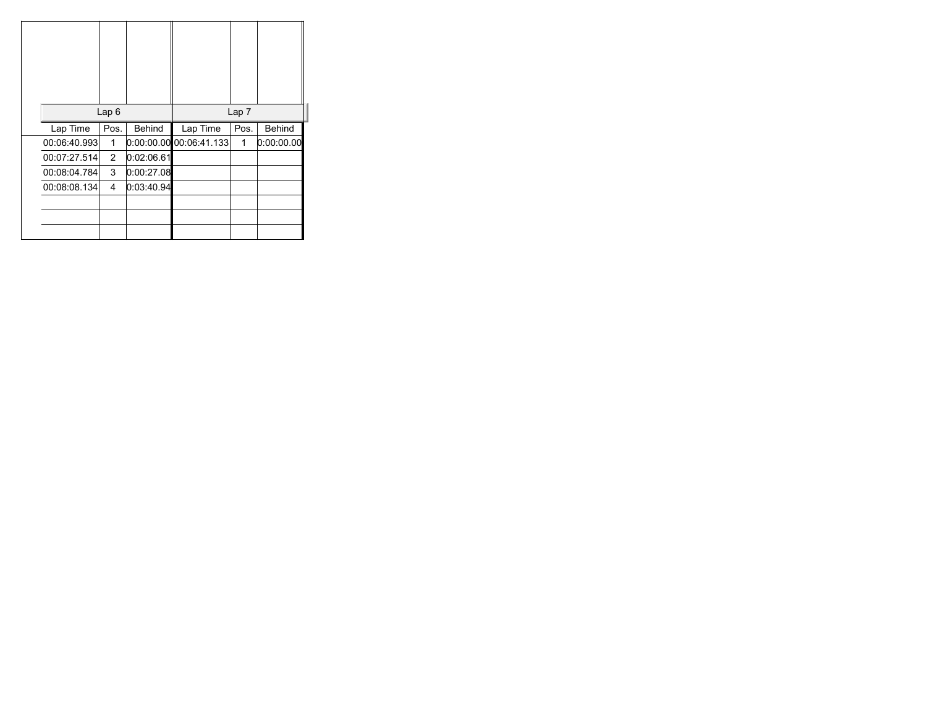|              | Lap <sub>6</sub> |               |                            | Lap 7 |               |
|--------------|------------------|---------------|----------------------------|-------|---------------|
| Lap Time     | Pos.             | <b>Behind</b> | Lap Time                   | Pos.  | <b>Behind</b> |
| 00:06:40.993 | 1                |               | [0.00.00.00, 00.06.41.133] | 1     | 0:00:00.00    |
| 00:07:27.514 | $\overline{2}$   | 0:02:06.61    |                            |       |               |
| 00:08:04.784 | 3                | 0:00:27.08    |                            |       |               |
| 00:08:08.134 | 4                | 0:03:40.94    |                            |       |               |
|              |                  |               |                            |       |               |
|              |                  |               |                            |       |               |
|              |                  |               |                            |       |               |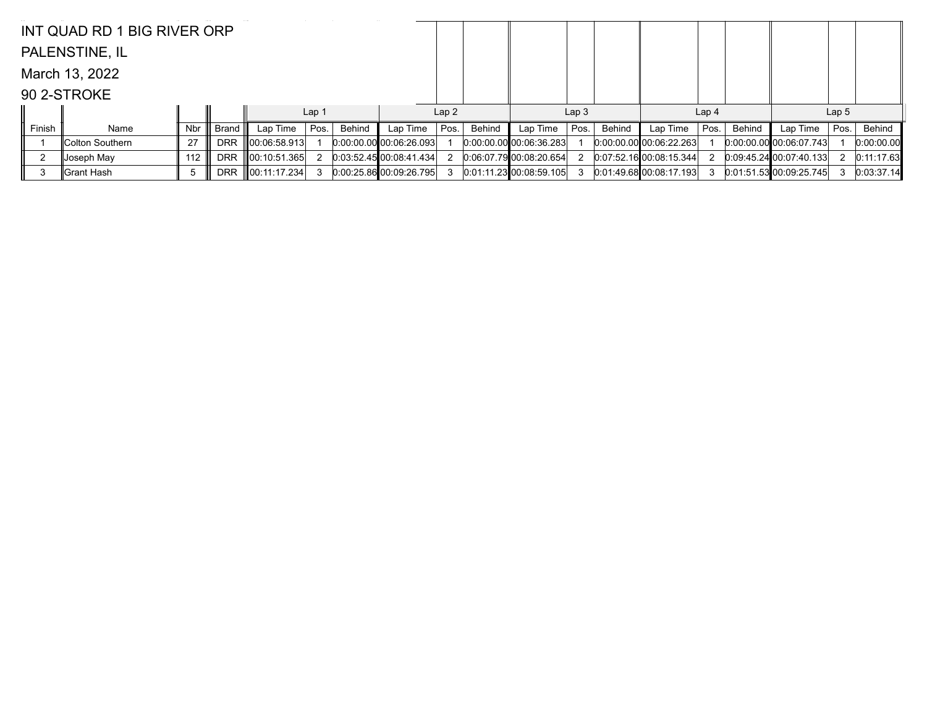|        | INT QUAD RD 1 BIG RIVER ORP |     |            |                    |                  |        |                           |      |        |                         |                  |        |                           |                  |               |                                |                  |            |
|--------|-----------------------------|-----|------------|--------------------|------------------|--------|---------------------------|------|--------|-------------------------|------------------|--------|---------------------------|------------------|---------------|--------------------------------|------------------|------------|
|        | PALENSTINE, IL              |     |            |                    |                  |        |                           |      |        |                         |                  |        |                           |                  |               |                                |                  |            |
|        | March 13, 2022              |     |            |                    |                  |        |                           |      |        |                         |                  |        |                           |                  |               |                                |                  |            |
|        | 90 2-STROKE                 |     |            |                    |                  |        |                           |      |        |                         |                  |        |                           |                  |               |                                |                  |            |
|        |                             |     |            |                    | Lap <sub>1</sub> |        |                           | Lap2 |        |                         | Lap <sub>3</sub> |        |                           | Lap <sub>4</sub> |               |                                | Lap <sub>5</sub> |            |
| Finish | Name                        | Nbr | Brand      | Lap Time $ $ Pos.  |                  | Behind | Lap Time                  | Pos. | Behind | Lap Time                | Pos.             | Behind | Lap Time                  | Pos.             | <b>Behind</b> | Lap Time                       | Pos.             | Behind     |
|        | Colton Southern             | 27  | <b>DRR</b> | $\ 00:06:58.913\ $ |                  |        | $0:00:00.00$ 00:06:26.093 |      |        | 0.00.00.00 00.06.36.283 |                  |        | 0.00.00.0000000622.263    |                  |               | $[0.00:00.00]$ $[0.06:07.743]$ |                  | 0:00:00.00 |
|        | Joseph May                  | 112 | <b>DRR</b> | $\ 00:10:51.365\ $ |                  |        | 0:03:52.45 00:08:41.434   |      |        | 0.06.07.79000.0820.654  |                  |        | 0.07:52.1600:08:15.344    |                  |               | 0.09.45.24 00.07.40.133        |                  | 0:11:17.63 |
|        |                             |     |            |                    |                  |        |                           |      |        | 0.01:11.23 00:08:59.105 |                  |        | $0:01:49.68$ 00:08:17.193 |                  |               | $0:01:51.53$ 00:09:25.745      |                  | 0:03:37.14 |